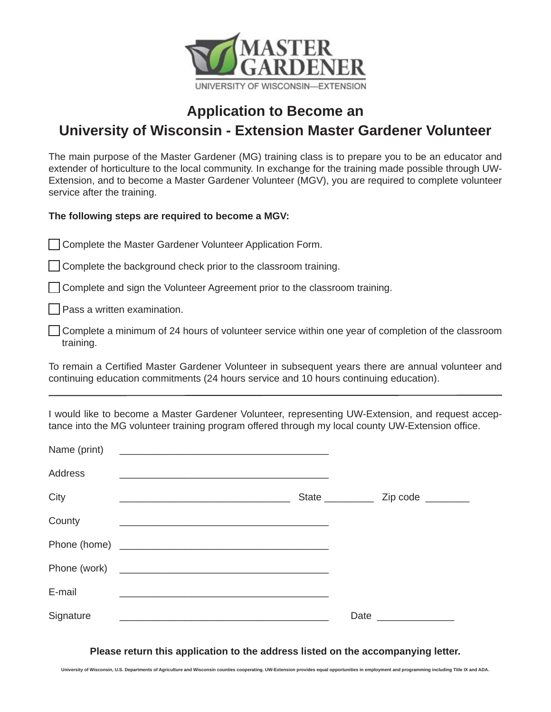

## **Application to Become an University of Wisconsin - Extension Master Gardener Volunteer**

The main purpose of the Master Gardener (MG) training class is to prepare you to be an educator and extender of horticulture to the local community. In exchange for the training made possible through UW-Extension, and to become a Master Gardener Volunteer (MGV), you are required to complete volunteer service after the training.

**The following steps are required to become a MGV:**

**Complete the Master Gardener Volunteer Application Form.** 

Complete the background check prior to the classroom training.

Complete and sign the Volunteer Agreement prior to the classroom training.

**Pass a written examination.** 

 Complete a minimum of 24 hours of volunteer service within one year of completion of the classroom training.

To remain a Certified Master Gardener Volunteer in subsequent years there are annual volunteer and continuing education commitments (24 hours service and 10 hours continuing education).

I would like to become a Master Gardener Volunteer, representing UW-Extension, and request acceptance into the MG volunteer training program offered through my local county UW-Extension office.

| Name (print)   |                                                                                                                                                                                                                                      |                                                                                                                 |
|----------------|--------------------------------------------------------------------------------------------------------------------------------------------------------------------------------------------------------------------------------------|-----------------------------------------------------------------------------------------------------------------|
| <b>Address</b> |                                                                                                                                                                                                                                      |                                                                                                                 |
| City           | <u> 1980 - Johann John Stone, mars eta bainar eta baina eta baina eta baina eta baina eta baina eta baina eta ba</u>                                                                                                                 |                                                                                                                 |
| County         |                                                                                                                                                                                                                                      |                                                                                                                 |
|                | Phone (home) <u>experience and the set of the set of the set of the set of the set of the set of the set of the set of the set of the set of the set of the set of the set of the set of the set of the set of the set of the se</u> |                                                                                                                 |
|                | Phone (work)                                                                                                                                                                                                                         |                                                                                                                 |
| E-mail         |                                                                                                                                                                                                                                      |                                                                                                                 |
| Signature      |                                                                                                                                                                                                                                      | Date and the set of the set of the set of the set of the set of the set of the set of the set of the set of the |

**Please return this application to the address listed on the accompanying letter.**